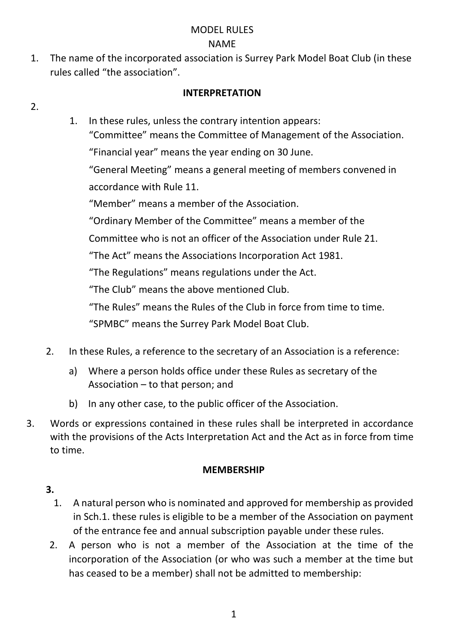# MODEL RULES NAME

1. The name of the incorporated association is Surrey Park Model Boat Club (in these rules called "the association".

## **INTERPRETATION**

#### $\mathcal{L}$

1. In these rules, unless the contrary intention appears:

"Committee" means the Committee of Management of the Association. "Financial year" means the year ending on 30 June.

"General Meeting" means a general meeting of members convened in accordance with Rule 11.

"Member" means a member of the Association.

"Ordinary Member of the Committee" means a member of the

Committee who is not an officer of the Association under Rule 21.

"The Act" means the Associations Incorporation Act 1981.

"The Regulations" means regulations under the Act.

"The Club" means the above mentioned Club.

"The Rules" means the Rules of the Club in force from time to time.

"SPMBC" means the Surrey Park Model Boat Club.

- 2. In these Rules, a reference to the secretary of an Association is a reference:
	- a) Where a person holds office under these Rules as secretary of the Association – to that person; and
	- b) In any other case, to the public officer of the Association.
- 3. Words or expressions contained in these rules shall be interpreted in accordance with the provisions of the Acts Interpretation Act and the Act as in force from time to time.

#### **MEMBERSHIP**

- 1. A natural person who is nominated and approved for membership as provided in Sch.1. these rules is eligible to be a member of the Association on payment of the entrance fee and annual subscription payable under these rules.
- 2. A person who is not a member of the Association at the time of the incorporation of the Association (or who was such a member at the time but has ceased to be a member) shall not be admitted to membership: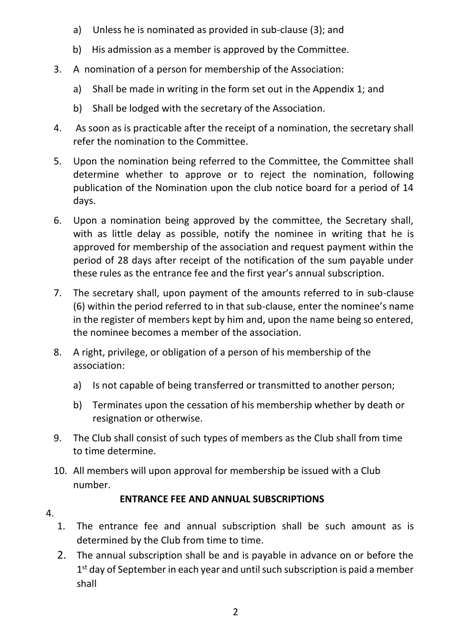- a) Unless he is nominated as provided in sub-clause (3); and
- b) His admission as a member is approved by the Committee.
- 3. A nomination of a person for membership of the Association:
	- a) Shall be made in writing in the form set out in the Appendix 1; and
	- b) Shall be lodged with the secretary of the Association.
- 4. As soon as is practicable after the receipt of a nomination, the secretary shall refer the nomination to the Committee.
- 5. Upon the nomination being referred to the Committee, the Committee shall determine whether to approve or to reject the nomination, following publication of the Nomination upon the club notice board for a period of 14 days.
- 6. Upon a nomination being approved by the committee, the Secretary shall, with as little delay as possible, notify the nominee in writing that he is approved for membership of the association and request payment within the period of 28 days after receipt of the notification of the sum payable under these rules as the entrance fee and the first year's annual subscription.
- 7. The secretary shall, upon payment of the amounts referred to in sub-clause (6) within the period referred to in that sub-clause, enter the nominee's name in the register of members kept by him and, upon the name being so entered, the nominee becomes a member of the association.
- 8. A right, privilege, or obligation of a person of his membership of the association:
	- a) Is not capable of being transferred or transmitted to another person;
	- b) Terminates upon the cessation of his membership whether by death or resignation or otherwise.
- 9. The Club shall consist of such types of members as the Club shall from time to time determine.
- 10. All members will upon approval for membership be issued with a Club number.

# **ENTRANCE FEE AND ANNUAL SUBSCRIPTIONS**

- 1. The entrance fee and annual subscription shall be such amount as is determined by the Club from time to time.
- 2. The annual subscription shall be and is payable in advance on or before the 1<sup>st</sup> day of September in each year and until such subscription is paid a member shall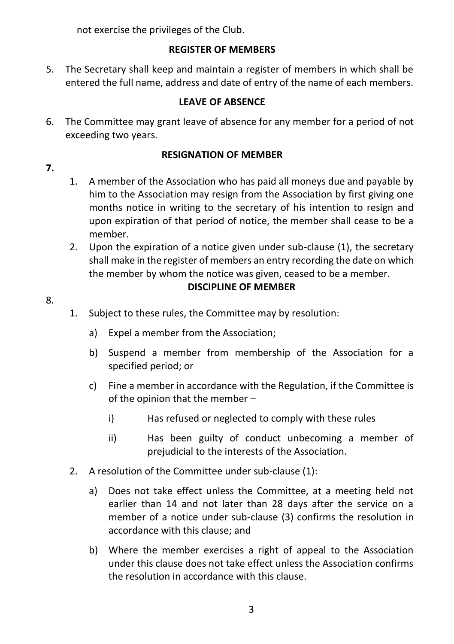not exercise the privileges of the Club.

# **REGISTER OF MEMBERS**

5. The Secretary shall keep and maintain a register of members in which shall be entered the full name, address and date of entry of the name of each members.

# **LEAVE OF ABSENCE**

6. The Committee may grant leave of absence for any member for a period of not exceeding two years.

# **RESIGNATION OF MEMBER**

- **7.**
- 1. A member of the Association who has paid all moneys due and payable by him to the Association may resign from the Association by first giving one months notice in writing to the secretary of his intention to resign and upon expiration of that period of notice, the member shall cease to be a member.
- 2. Upon the expiration of a notice given under sub-clause (1), the secretary shall make in the register of members an entry recording the date on which the member by whom the notice was given, ceased to be a member.

# **DISCIPLINE OF MEMBER**

- 8.
- 1. Subject to these rules, the Committee may by resolution:
	- a) Expel a member from the Association;
	- b) Suspend a member from membership of the Association for a specified period; or
	- c) Fine a member in accordance with the Regulation, if the Committee is of the opinion that the member –
		- i) Has refused or neglected to comply with these rules
		- ii) Has been guilty of conduct unbecoming a member of prejudicial to the interests of the Association.
- 2. A resolution of the Committee under sub-clause (1):
	- a) Does not take effect unless the Committee, at a meeting held not earlier than 14 and not later than 28 days after the service on a member of a notice under sub-clause (3) confirms the resolution in accordance with this clause; and
	- b) Where the member exercises a right of appeal to the Association under this clause does not take effect unless the Association confirms the resolution in accordance with this clause.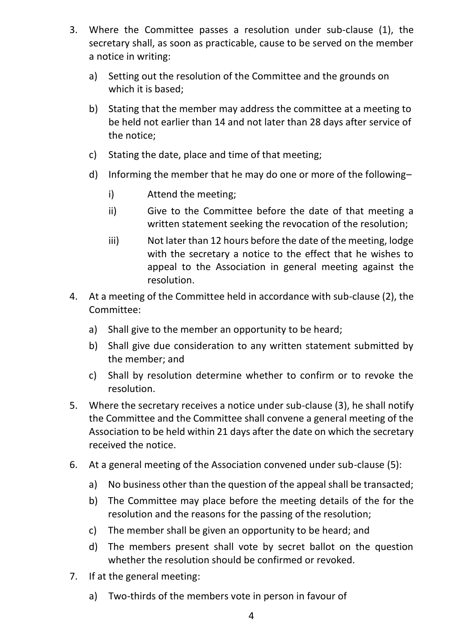- 3. Where the Committee passes a resolution under sub-clause (1), the secretary shall, as soon as practicable, cause to be served on the member a notice in writing:
	- a) Setting out the resolution of the Committee and the grounds on which it is based;
	- b) Stating that the member may address the committee at a meeting to be held not earlier than 14 and not later than 28 days after service of the notice;
	- c) Stating the date, place and time of that meeting;
	- d) Informing the member that he may do one or more of the following–
		- i) Attend the meeting;
		- ii) Give to the Committee before the date of that meeting a written statement seeking the revocation of the resolution;
		- iii) Not later than 12 hours before the date of the meeting, lodge with the secretary a notice to the effect that he wishes to appeal to the Association in general meeting against the resolution.
- 4. At a meeting of the Committee held in accordance with sub-clause (2), the Committee:
	- a) Shall give to the member an opportunity to be heard;
	- b) Shall give due consideration to any written statement submitted by the member; and
	- c) Shall by resolution determine whether to confirm or to revoke the resolution.
- 5. Where the secretary receives a notice under sub-clause (3), he shall notify the Committee and the Committee shall convene a general meeting of the Association to be held within 21 days after the date on which the secretary received the notice.
- 6. At a general meeting of the Association convened under sub-clause (5):
	- a) No business other than the question of the appeal shall be transacted;
	- b) The Committee may place before the meeting details of the for the resolution and the reasons for the passing of the resolution;
	- c) The member shall be given an opportunity to be heard; and
	- d) The members present shall vote by secret ballot on the question whether the resolution should be confirmed or revoked.
- 7. If at the general meeting:
	- a) Two-thirds of the members vote in person in favour of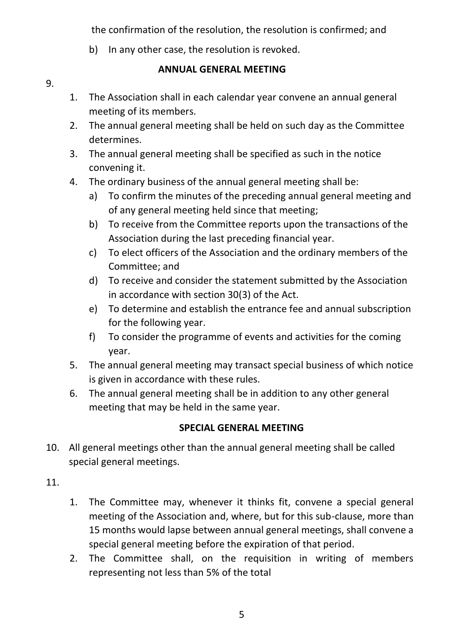the confirmation of the resolution, the resolution is confirmed; and

b) In any other case, the resolution is revoked.

#### 9.

#### **ANNUAL GENERAL MEETING**

- 1. The Association shall in each calendar year convene an annual general meeting of its members.
- 2. The annual general meeting shall be held on such day as the Committee determines.
- 3. The annual general meeting shall be specified as such in the notice convening it.
- 4. The ordinary business of the annual general meeting shall be:
	- a) To confirm the minutes of the preceding annual general meeting and of any general meeting held since that meeting;
	- b) To receive from the Committee reports upon the transactions of the Association during the last preceding financial year.
	- c) To elect officers of the Association and the ordinary members of the Committee; and
	- d) To receive and consider the statement submitted by the Association in accordance with section 30(3) of the Act.
	- e) To determine and establish the entrance fee and annual subscription for the following year.
	- f) To consider the programme of events and activities for the coming year.
- 5. The annual general meeting may transact special business of which notice is given in accordance with these rules.
- 6. The annual general meeting shall be in addition to any other general meeting that may be held in the same year.

# **SPECIAL GENERAL MEETING**

- 10. All general meetings other than the annual general meeting shall be called special general meetings.
- 11.
- 1. The Committee may, whenever it thinks fit, convene a special general meeting of the Association and, where, but for this sub-clause, more than 15 months would lapse between annual general meetings, shall convene a special general meeting before the expiration of that period.
- 2. The Committee shall, on the requisition in writing of members representing not less than 5% of the total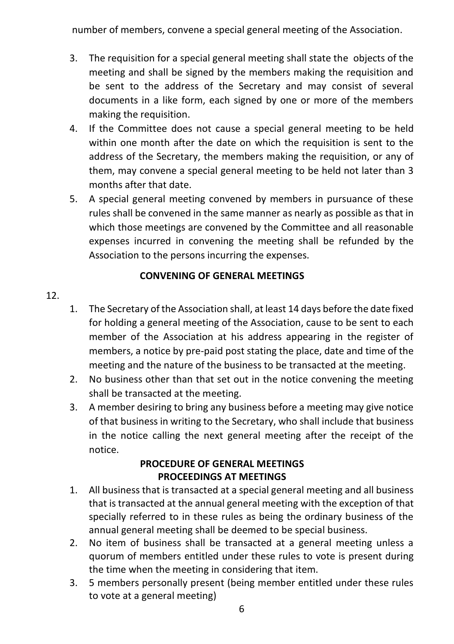number of members, convene a special general meeting of the Association.

- 3. The requisition for a special general meeting shall state the objects of the meeting and shall be signed by the members making the requisition and be sent to the address of the Secretary and may consist of several documents in a like form, each signed by one or more of the members making the requisition.
- 4. If the Committee does not cause a special general meeting to be held within one month after the date on which the requisition is sent to the address of the Secretary, the members making the requisition, or any of them, may convene a special general meeting to be held not later than 3 months after that date.
- 5. A special general meeting convened by members in pursuance of these rules shall be convened in the same manner as nearly as possible as that in which those meetings are convened by the Committee and all reasonable expenses incurred in convening the meeting shall be refunded by the Association to the persons incurring the expenses.

### **CONVENING OF GENERAL MEETINGS**

#### 12.

- 1. The Secretary of the Association shall, at least 14 days before the date fixed for holding a general meeting of the Association, cause to be sent to each member of the Association at his address appearing in the register of members, a notice by pre-paid post stating the place, date and time of the meeting and the nature of the business to be transacted at the meeting.
- 2. No business other than that set out in the notice convening the meeting shall be transacted at the meeting.
- 3. A member desiring to bring any business before a meeting may give notice of that business in writing to the Secretary, who shall include that business in the notice calling the next general meeting after the receipt of the notice.

#### **PROCEDURE OF GENERAL MEETINGS PROCEEDINGS AT MEETINGS**

- 1. All business that is transacted at a special general meeting and all business that is transacted at the annual general meeting with the exception of that specially referred to in these rules as being the ordinary business of the annual general meeting shall be deemed to be special business.
- 2. No item of business shall be transacted at a general meeting unless a quorum of members entitled under these rules to vote is present during the time when the meeting in considering that item.
- 3. 5 members personally present (being member entitled under these rules to vote at a general meeting)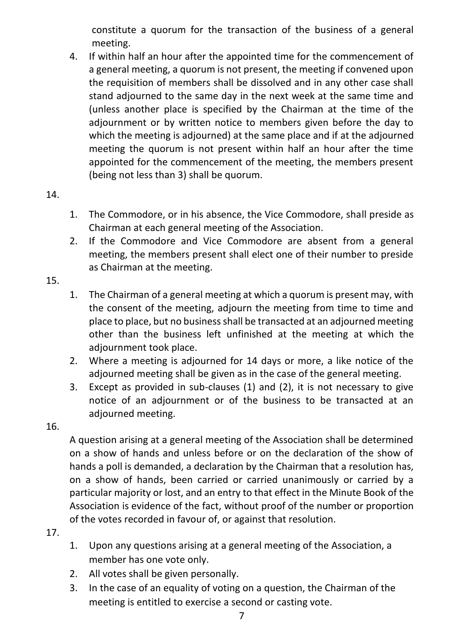constitute a quorum for the transaction of the business of a general meeting.

4. If within half an hour after the appointed time for the commencement of a general meeting, a quorum is not present, the meeting if convened upon the requisition of members shall be dissolved and in any other case shall stand adjourned to the same day in the next week at the same time and (unless another place is specified by the Chairman at the time of the adjournment or by written notice to members given before the day to which the meeting is adjourned) at the same place and if at the adjourned meeting the quorum is not present within half an hour after the time appointed for the commencement of the meeting, the members present (being not less than 3) shall be quorum.

14.

- 1. The Commodore, or in his absence, the Vice Commodore, shall preside as Chairman at each general meeting of the Association.
- 2. If the Commodore and Vice Commodore are absent from a general meeting, the members present shall elect one of their number to preside as Chairman at the meeting.
- 15.
- 1. The Chairman of a general meeting at which a quorum is present may, with the consent of the meeting, adjourn the meeting from time to time and place to place, but no business shall be transacted at an adjourned meeting other than the business left unfinished at the meeting at which the adjournment took place.
- 2. Where a meeting is adjourned for 14 days or more, a like notice of the adjourned meeting shall be given as in the case of the general meeting.
- 3. Except as provided in sub-clauses (1) and (2), it is not necessary to give notice of an adjournment or of the business to be transacted at an adjourned meeting.

#### 16.

A question arising at a general meeting of the Association shall be determined on a show of hands and unless before or on the declaration of the show of hands a poll is demanded, a declaration by the Chairman that a resolution has, on a show of hands, been carried or carried unanimously or carried by a particular majority or lost, and an entry to that effect in the Minute Book of the Association is evidence of the fact, without proof of the number or proportion of the votes recorded in favour of, or against that resolution.

- 1. Upon any questions arising at a general meeting of the Association, a member has one vote only.
- 2. All votes shall be given personally.
- 3. In the case of an equality of voting on a question, the Chairman of the meeting is entitled to exercise a second or casting vote.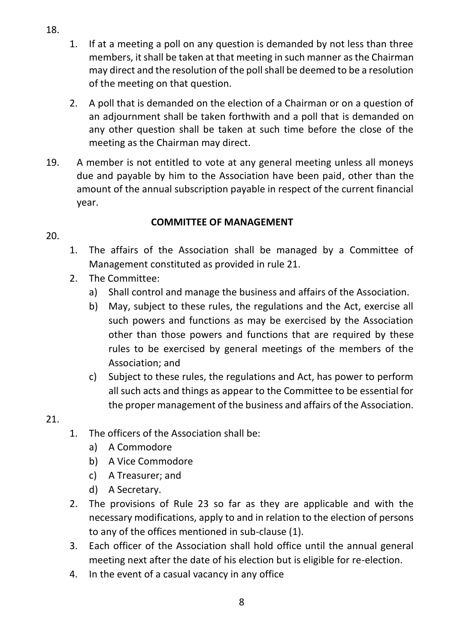- 1. If at a meeting a poll on any question is demanded by not less than three members, it shall be taken at that meeting in such manner as the Chairman may direct and the resolution of the poll shall be deemed to be a resolution of the meeting on that question.
- 2. A poll that is demanded on the election of a Chairman or on a question of an adjournment shall be taken forthwith and a poll that is demanded on any other question shall be taken at such time before the close of the meeting as the Chairman may direct.
- 19. A member is not entitled to vote at any general meeting unless all moneys due and payable by him to the Association have been paid, other than the amount of the annual subscription payable in respect of the current financial year.

### **COMMITTEE OF MANAGEMENT**

- 20.
- 1. The affairs of the Association shall be managed by a Committee of Management constituted as provided in rule 21.
- 2. The Committee:
	- a) Shall control and manage the business and affairs of the Association.
	- b) May, subject to these rules, the regulations and the Act, exercise all such powers and functions as may be exercised by the Association other than those powers and functions that are required by these rules to be exercised by general meetings of the members of the Association; and
	- c) Subject to these rules, the regulations and Act, has power to perform all such acts and things as appear to the Committee to be essential for the proper management of the business and affairs of the Association.

#### 21.

- 1. The officers of the Association shall be:
	- a) A Commodore
	- b) A Vice Commodore
	- c) A Treasurer; and
	- d) A Secretary.
- 2. The provisions of Rule 23 so far as they are applicable and with the necessary modifications, apply to and in relation to the election of persons to any of the offices mentioned in sub-clause (1).
- 3. Each officer of the Association shall hold office until the annual general meeting next after the date of his election but is eligible for re-election.
- 4. In the event of a casual vacancy in any office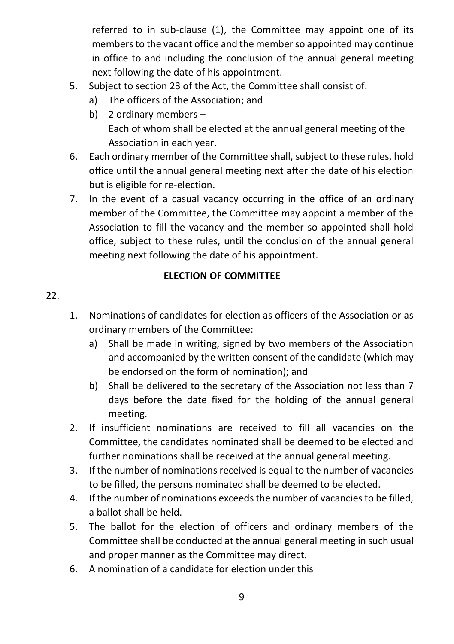referred to in sub-clause (1), the Committee may appoint one of its members to the vacant office and the member so appointed may continue in office to and including the conclusion of the annual general meeting next following the date of his appointment.

- 5. Subject to section 23 of the Act, the Committee shall consist of:
	- a) The officers of the Association; and
	- b) 2 ordinary members Each of whom shall be elected at the annual general meeting of the Association in each year.
- 6. Each ordinary member of the Committee shall, subject to these rules, hold office until the annual general meeting next after the date of his election but is eligible for re-election.
- 7. In the event of a casual vacancy occurring in the office of an ordinary member of the Committee, the Committee may appoint a member of the Association to fill the vacancy and the member so appointed shall hold office, subject to these rules, until the conclusion of the annual general meeting next following the date of his appointment.

#### **ELECTION OF COMMITTEE**

- 1. Nominations of candidates for election as officers of the Association or as ordinary members of the Committee:
	- a) Shall be made in writing, signed by two members of the Association and accompanied by the written consent of the candidate (which may be endorsed on the form of nomination); and
	- b) Shall be delivered to the secretary of the Association not less than 7 days before the date fixed for the holding of the annual general meeting.
- 2. If insufficient nominations are received to fill all vacancies on the Committee, the candidates nominated shall be deemed to be elected and further nominations shall be received at the annual general meeting.
- 3. If the number of nominations received is equal to the number of vacancies to be filled, the persons nominated shall be deemed to be elected.
- 4. If the number of nominations exceeds the number of vacancies to be filled, a ballot shall be held.
- 5. The ballot for the election of officers and ordinary members of the Committee shall be conducted at the annual general meeting in such usual and proper manner as the Committee may direct.
- 6. A nomination of a candidate for election under this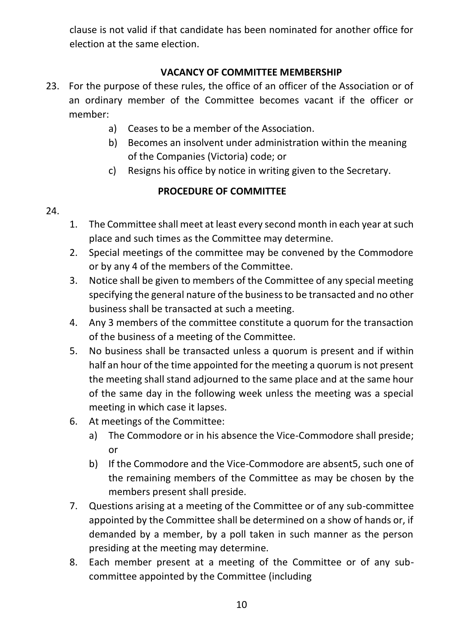clause is not valid if that candidate has been nominated for another office for election at the same election.

# **VACANCY OF COMMITTEE MEMBERSHIP**

- 23. For the purpose of these rules, the office of an officer of the Association or of an ordinary member of the Committee becomes vacant if the officer or member:
	- a) Ceases to be a member of the Association.
	- b) Becomes an insolvent under administration within the meaning of the Companies (Victoria) code; or
	- c) Resigns his office by notice in writing given to the Secretary.

### **PROCEDURE OF COMMITTEE**

- 24.
- 1. The Committee shall meet at least every second month in each year at such place and such times as the Committee may determine.
- 2. Special meetings of the committee may be convened by the Commodore or by any 4 of the members of the Committee.
- 3. Notice shall be given to members of the Committee of any special meeting specifying the general nature of the business to be transacted and no other business shall be transacted at such a meeting.
- 4. Any 3 members of the committee constitute a quorum for the transaction of the business of a meeting of the Committee.
- 5. No business shall be transacted unless a quorum is present and if within half an hour of the time appointed for the meeting a quorum is not present the meeting shall stand adjourned to the same place and at the same hour of the same day in the following week unless the meeting was a special meeting in which case it lapses.
- 6. At meetings of the Committee:
	- a) The Commodore or in his absence the Vice-Commodore shall preside; or
	- b) If the Commodore and the Vice-Commodore are absent5, such one of the remaining members of the Committee as may be chosen by the members present shall preside.
- 7. Questions arising at a meeting of the Committee or of any sub-committee appointed by the Committee shall be determined on a show of hands or, if demanded by a member, by a poll taken in such manner as the person presiding at the meeting may determine.
- 8. Each member present at a meeting of the Committee or of any subcommittee appointed by the Committee (including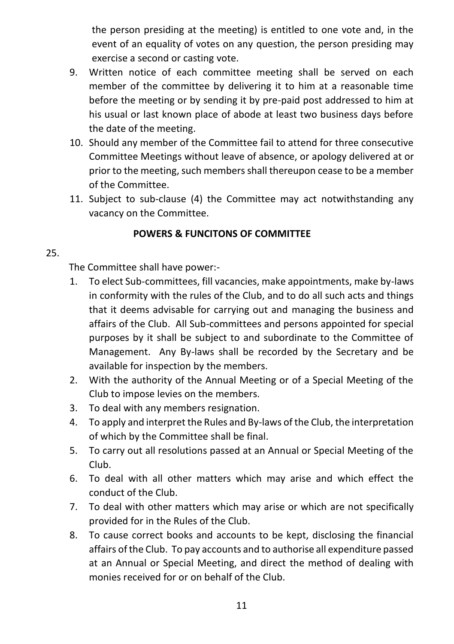the person presiding at the meeting) is entitled to one vote and, in the event of an equality of votes on any question, the person presiding may exercise a second or casting vote.

- 9. Written notice of each committee meeting shall be served on each member of the committee by delivering it to him at a reasonable time before the meeting or by sending it by pre-paid post addressed to him at his usual or last known place of abode at least two business days before the date of the meeting.
- 10. Should any member of the Committee fail to attend for three consecutive Committee Meetings without leave of absence, or apology delivered at or prior to the meeting, such members shall thereupon cease to be a member of the Committee.
- 11. Subject to sub-clause (4) the Committee may act notwithstanding any vacancy on the Committee.

#### **POWERS & FUNCITONS OF COMMITTEE**

#### 25.

The Committee shall have power:-

- 1. To elect Sub-committees, fill vacancies, make appointments, make by-laws in conformity with the rules of the Club, and to do all such acts and things that it deems advisable for carrying out and managing the business and affairs of the Club. All Sub-committees and persons appointed for special purposes by it shall be subject to and subordinate to the Committee of Management. Any By-laws shall be recorded by the Secretary and be available for inspection by the members.
- 2. With the authority of the Annual Meeting or of a Special Meeting of the Club to impose levies on the members.
- 3. To deal with any members resignation.
- 4. To apply and interpret the Rules and By-laws of the Club, the interpretation of which by the Committee shall be final.
- 5. To carry out all resolutions passed at an Annual or Special Meeting of the Club.
- 6. To deal with all other matters which may arise and which effect the conduct of the Club.
- 7. To deal with other matters which may arise or which are not specifically provided for in the Rules of the Club.
- 8. To cause correct books and accounts to be kept, disclosing the financial affairs of the Club. To pay accounts and to authorise all expenditure passed at an Annual or Special Meeting, and direct the method of dealing with monies received for or on behalf of the Club.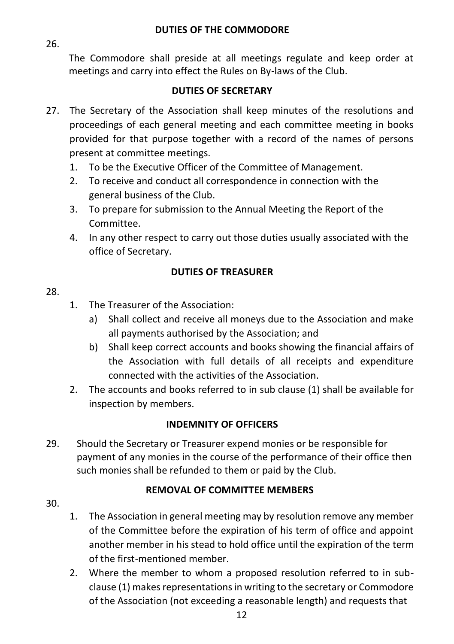#### **DUTIES OF THE COMMODORE**

26.

The Commodore shall preside at all meetings regulate and keep order at meetings and carry into effect the Rules on By-laws of the Club.

#### **DUTIES OF SECRETARY**

- 27. The Secretary of the Association shall keep minutes of the resolutions and proceedings of each general meeting and each committee meeting in books provided for that purpose together with a record of the names of persons present at committee meetings.
	- 1. To be the Executive Officer of the Committee of Management.
	- 2. To receive and conduct all correspondence in connection with the general business of the Club.
	- 3. To prepare for submission to the Annual Meeting the Report of the Committee.
	- 4. In any other respect to carry out those duties usually associated with the office of Secretary.

### **DUTIES OF TREASURER**

#### 28.

- 1. The Treasurer of the Association:
	- a) Shall collect and receive all moneys due to the Association and make all payments authorised by the Association; and
	- b) Shall keep correct accounts and books showing the financial affairs of the Association with full details of all receipts and expenditure connected with the activities of the Association.
- 2. The accounts and books referred to in sub clause (1) shall be available for inspection by members.

#### **INDEMNITY OF OFFICERS**

29. Should the Secretary or Treasurer expend monies or be responsible for payment of any monies in the course of the performance of their office then such monies shall be refunded to them or paid by the Club.

# **REMOVAL OF COMMITTEE MEMBERS**

- 30.
- 1. The Association in general meeting may by resolution remove any member of the Committee before the expiration of his term of office and appoint another member in his stead to hold office until the expiration of the term of the first-mentioned member.
- 2. Where the member to whom a proposed resolution referred to in subclause (1) makes representations in writing to the secretary or Commodore of the Association (not exceeding a reasonable length) and requests that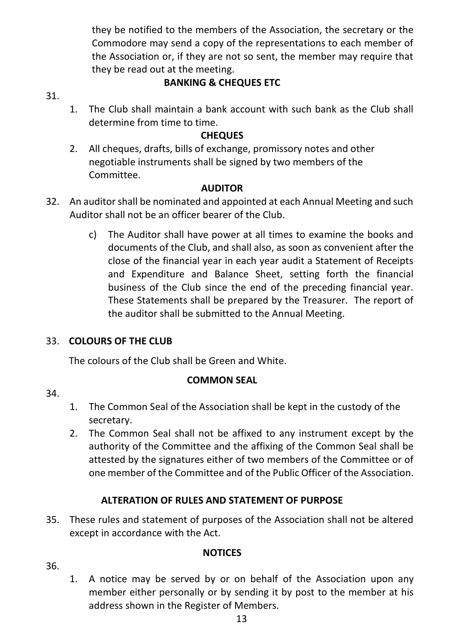they be notified to the members of the Association, the secretary or the Commodore may send a copy of the representations to each member of the Association or, if they are not so sent, the member may require that they be read out at the meeting.

#### **BANKING & CHEQUES ETC**

#### 31.

1. The Club shall maintain a bank account with such bank as the Club shall determine from time to time.

## **CHEQUES**

2. All cheques, drafts, bills of exchange, promissory notes and other negotiable instruments shall be signed by two members of the Committee.

# **AUDITOR**

- 32. An auditor shall be nominated and appointed at each Annual Meeting and such Auditor shall not be an officer bearer of the Club.
	- c) The Auditor shall have power at all times to examine the books and documents of the Club, and shall also, as soon as convenient after the close of the financial year in each year audit a Statement of Receipts and Expenditure and Balance Sheet, setting forth the financial business of the Club since the end of the preceding financial year. These Statements shall be prepared by the Treasurer. The report of the auditor shall be submitted to the Annual Meeting.

#### 33. **COLOURS OF THE CLUB**

The colours of the Club shall be Green and White.

#### **COMMON SEAL**

34.

- 1. The Common Seal of the Association shall be kept in the custody of the secretary.
- 2. The Common Seal shall not be affixed to any instrument except by the authority of the Committee and the affixing of the Common Seal shall be attested by the signatures either of two members of the Committee or of one member of the Committee and of the Public Officer of the Association.

# **ALTERATION OF RULES AND STATEMENT OF PURPOSE**

35. These rules and statement of purposes of the Association shall not be altered except in accordance with the Act.

#### **NOTICES**

- 36.
- 1. A notice may be served by or on behalf of the Association upon any member either personally or by sending it by post to the member at his address shown in the Register of Members.